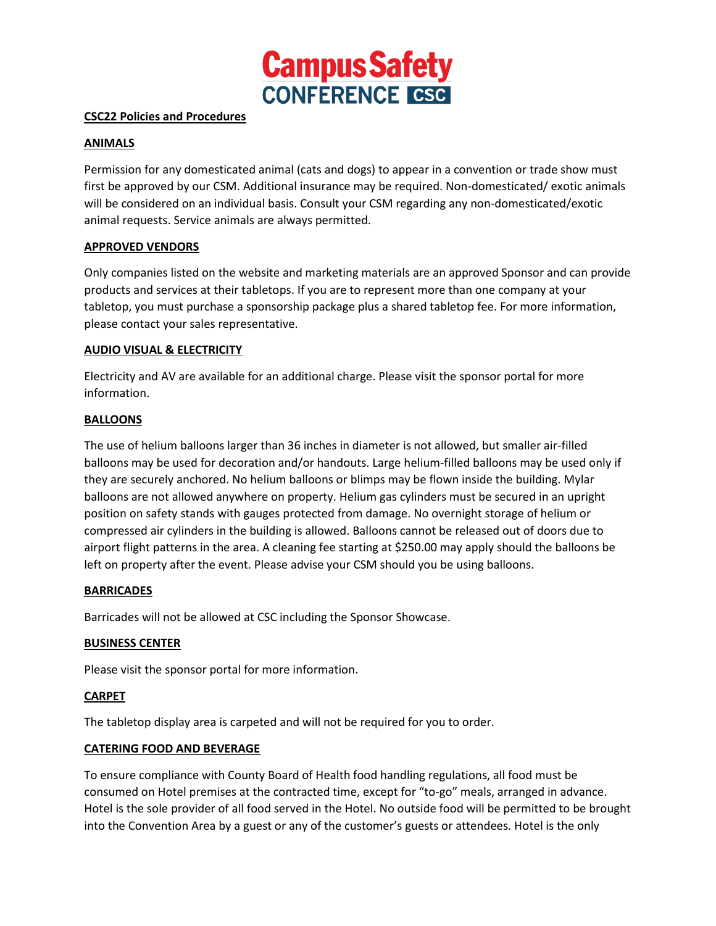

### **CSC22 Policies and Procedures**

### **ANIMALS**

Permission for any domesticated animal (cats and dogs) to appear in a convention or trade show must first be approved by our CSM. Additional insurance may be required. Non-domesticated/ exotic animals will be considered on an individual basis. Consult your CSM regarding any non-domesticated/exotic animal requests. Service animals are always permitted.

# **APPROVED VENDORS**

Only companies listed on the website and marketing materials are an approved Sponsor and can provide products and services at their tabletops. If you are to represent more than one company at your tabletop, you must purchase a sponsorship package plus a shared tabletop fee. For more information, please contact your sales representative.

# **AUDIO VISUAL & ELECTRICITY**

Electricity and AV are available for an additional charge. Please visit the sponsor portal for more information.

# **BALLOONS**

The use of helium balloons larger than 36 inches in diameter is not allowed, but smaller air-filled balloons may be used for decoration and/or handouts. Large helium-filled balloons may be used only if they are securely anchored. No helium balloons or blimps may be flown inside the building. Mylar balloons are not allowed anywhere on property. Helium gas cylinders must be secured in an upright position on safety stands with gauges protected from damage. No overnight storage of helium or compressed air cylinders in the building is allowed. Balloons cannot be released out of doors due to airport flight patterns in the area. A cleaning fee starting at \$250.00 may apply should the balloons be left on property after the event. Please advise your CSM should you be using balloons.

### **BARRICADES**

Barricades will not be allowed at CSC including the Sponsor Showcase.

### **BUSINESS CENTER**

Please visit the sponsor portal for more information.

### **CARPET**

The tabletop display area is carpeted and will not be required for you to order.

### **CATERING FOOD AND BEVERAGE**

To ensure compliance with County Board of Health food handling regulations, all food must be consumed on Hotel premises at the contracted time, except for "to-go" meals, arranged in advance. Hotel is the sole provider of all food served in the Hotel. No outside food will be permitted to be brought into the Convention Area by a guest or any of the customer's guests or attendees. Hotel is the only